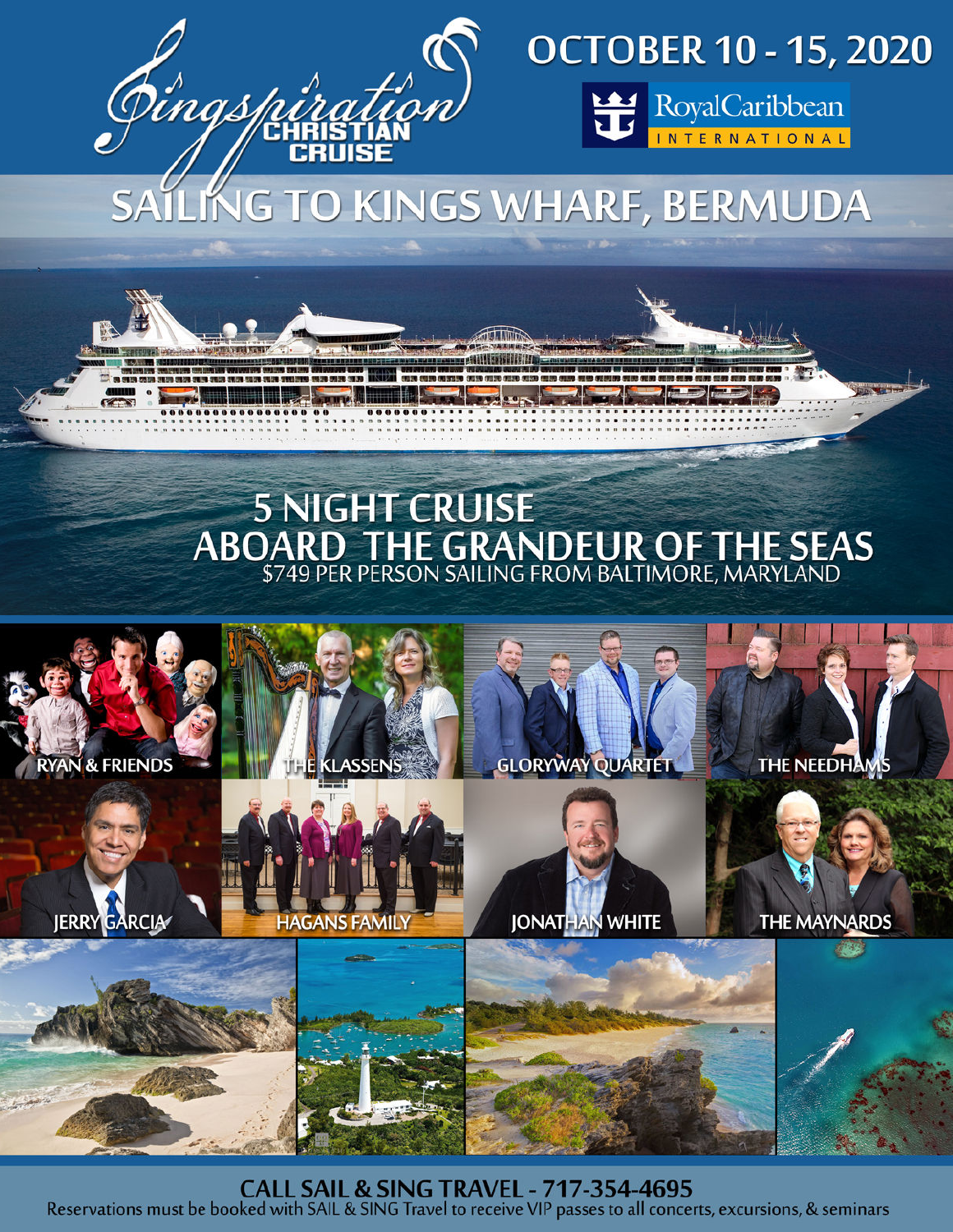





RoyalCaribbean

LING TO KINGS WHARF, BERMUDA

# **5 NIGHT CRUISE ABOARD THE GRANDEUR OF THE SEAS**



**CALL SAIL & SING TRAVEL - 717-354-4695** Reservations must be booked with SAIL & SING Travel to receive VIP passes to all concerts, excursions, & seminars